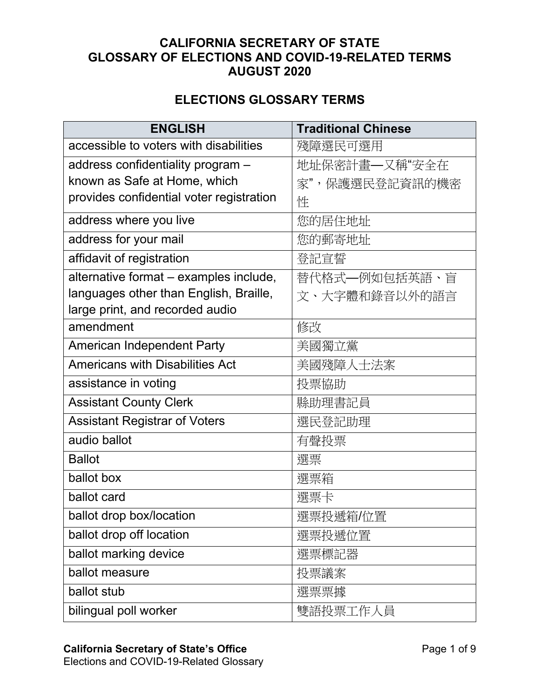## **CALIFORNIA SECRETARY OF STATE GLOSSARY OF ELECTIONS AND COVID-19-RELATED TERMS AUGUST 2020**

## **ELECTIONS GLOSSARY TERMS**

| <b>ENGLISH</b>                           | <b>Traditional Chinese</b> |
|------------------------------------------|----------------------------|
| accessible to voters with disabilities   | 殘障選民可選用                    |
| address confidentiality program -        | 地址保密計畫—又稱"安全在              |
| known as Safe at Home, which             | 家",保護選民登記資訊的機密             |
| provides confidential voter registration | 性                          |
| address where you live                   | 您的居住地址                     |
| address for your mail                    | 您的郵寄地址                     |
| affidavit of registration                | 登記宣誓                       |
| alternative format - examples include,   | 替代格式–例如包括英語、盲              |
| languages other than English, Braille,   | 文、大字體和錄音以外的語言              |
| large print, and recorded audio          |                            |
| amendment                                | 修改                         |
| <b>American Independent Party</b>        | 美國獨立黨                      |
| <b>Americans with Disabilities Act</b>   | 美國殘障人士法案                   |
| assistance in voting                     | 投票協助                       |
| <b>Assistant County Clerk</b>            | 縣助理書記員                     |
| <b>Assistant Registrar of Voters</b>     | 選民登記助理                     |
| audio ballot                             | 有聲投票                       |
| <b>Ballot</b>                            | 選票                         |
| ballot box                               | 選票箱                        |
| ballot card                              | 選票卡                        |
| ballot drop box/location                 | 選票投遞箱/位置                   |
| ballot drop off location                 | 選票投遞位置                     |
| ballot marking device                    | 選票標記器                      |
| ballot measure                           | 投票議案                       |
| ballot stub                              | 選票票據                       |
| bilingual poll worker                    | 雙語投票工作人員                   |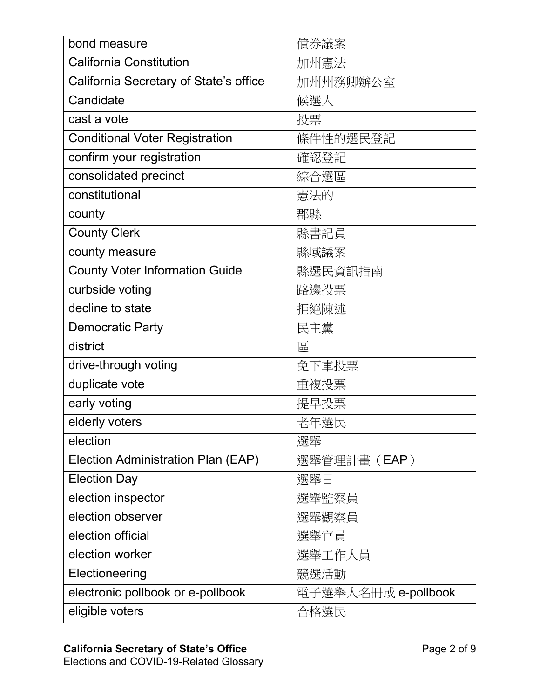| bond measure                           | 債券議案                |
|----------------------------------------|---------------------|
| <b>California Constitution</b>         | 加州憲法                |
| California Secretary of State's office | 加州州務卿辦公室            |
| Candidate                              | 候選人                 |
| cast a vote                            | 投票                  |
| <b>Conditional Voter Registration</b>  | 條件性的選民登記            |
| confirm your registration              | 確認登記                |
| consolidated precinct                  | 綜合選區                |
| constitutional                         | 憲法的                 |
| county                                 | 郡縣                  |
| <b>County Clerk</b>                    | 縣書記員                |
| county measure                         | 縣域議案                |
| <b>County Voter Information Guide</b>  | 縣選民資訊指南             |
| curbside voting                        | 路邊投票                |
| decline to state                       | 拒絕陳述                |
| <b>Democratic Party</b>                | 民主黨                 |
| district                               | 區                   |
| drive-through voting                   | 免下車投票               |
| duplicate vote                         | 重複投票                |
| early voting                           | 提早投票                |
| elderly voters                         | 老年選民                |
| election                               | 選舉                  |
| Election Administration Plan (EAP)     | 選舉管理計畫(EAP)         |
| <b>Election Day</b>                    | 選舉日                 |
| election inspector                     | 選舉監察員               |
| election observer                      | 選舉觀察員               |
| election official                      | 選舉官員                |
| election worker                        | 選舉工作人員              |
| Electioneering                         | 競選活動                |
| electronic pollbook or e-pollbook      | 電子選舉人名冊或 e-pollbook |
| eligible voters                        | 合格選民                |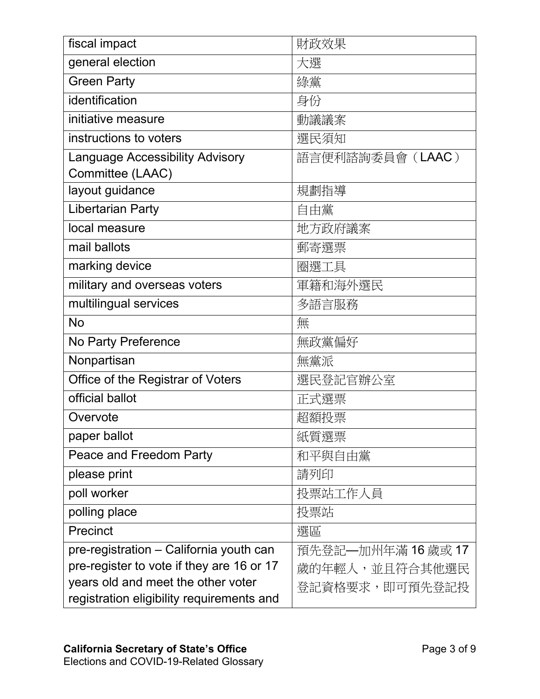| fiscal impact                             | 財政效果              |
|-------------------------------------------|-------------------|
| general election                          | 大選                |
| <b>Green Party</b>                        | 綠黨                |
| identification                            | 身份                |
| initiative measure                        | 動議議案              |
| instructions to voters                    | 選民須知              |
| <b>Language Accessibility Advisory</b>    | 語言便利諮詢委員會 (LAAC)  |
| Committee (LAAC)                          |                   |
| layout guidance                           | 規劃指導              |
| <b>Libertarian Party</b>                  | 自由黨               |
| local measure                             | 地方政府議案            |
| mail ballots                              | 郵寄選票              |
| marking device                            | 圈選工具              |
| military and overseas voters              | 軍籍和海外選民           |
| multilingual services                     | 多語言服務             |
| <b>No</b>                                 | 無                 |
| No Party Preference                       | 無政黨偏好             |
| Nonpartisan                               | 無黨派               |
| Office of the Registrar of Voters         | 選民登記官辦公室          |
| official ballot                           | 正式選票              |
| Overvote                                  | 超額投票              |
| paper ballot                              | 紙質選票              |
| Peace and Freedom Party                   | 和平與自由黨            |
| please print                              | 請列印               |
| poll worker                               | 投票站工作人員           |
| polling place                             | 投票站               |
| Precinct                                  | 選區                |
| pre-registration – California youth can   | 預先登記—加州年滿 16歲或 17 |
| pre-register to vote if they are 16 or 17 | 歲的年輕人,並且符合其他選民    |
| years old and meet the other voter        | 登記資格要求,即可預先登記投    |
| registration eligibility requirements and |                   |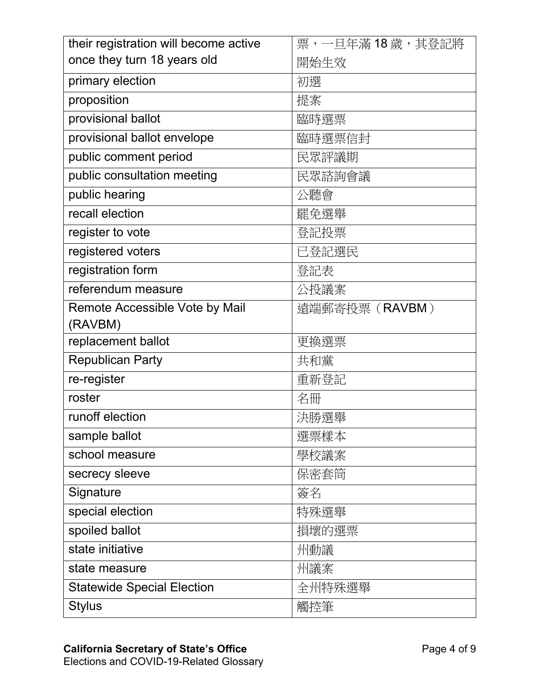| their registration will become active | 票,一旦年滿18歲,其登記將 |
|---------------------------------------|----------------|
| once they turn 18 years old           | 開始生效           |
| primary election                      | 初選             |
| proposition                           | 提案             |
| provisional ballot                    | 臨時選票           |
| provisional ballot envelope           | 臨時選票信封         |
| public comment period                 | 民眾評議期          |
| public consultation meeting           | 民眾諮詢會議         |
| public hearing                        | 公聽會            |
| recall election                       | 罷免選舉           |
| register to vote                      | 登記投票           |
| registered voters                     | 已登記選民          |
| registration form                     | 登記表            |
| referendum measure                    | 公投議案           |
| Remote Accessible Vote by Mail        | 遠端郵寄投票 (RAVBM) |
| (RAVBM)                               |                |
| replacement ballot                    | 更換選票           |
| <b>Republican Party</b>               | 共和黨            |
| re-register                           | 重新登記           |
| roster                                | 名冊             |
| runoff election                       | 決勝選舉           |
| sample ballot                         | 選票樣本           |
| school measure                        | 學校議案           |
| secrecy sleeve                        | 保密套筒           |
| Signature                             | 簽名             |
| special election                      | 特殊選舉           |
| spoiled ballot                        | 損壞的選票          |
| state initiative                      | 州動議            |
| state measure                         | 州議案            |
| <b>Statewide Special Election</b>     | 全州特殊選舉         |
| <b>Stylus</b>                         | 觸控筆            |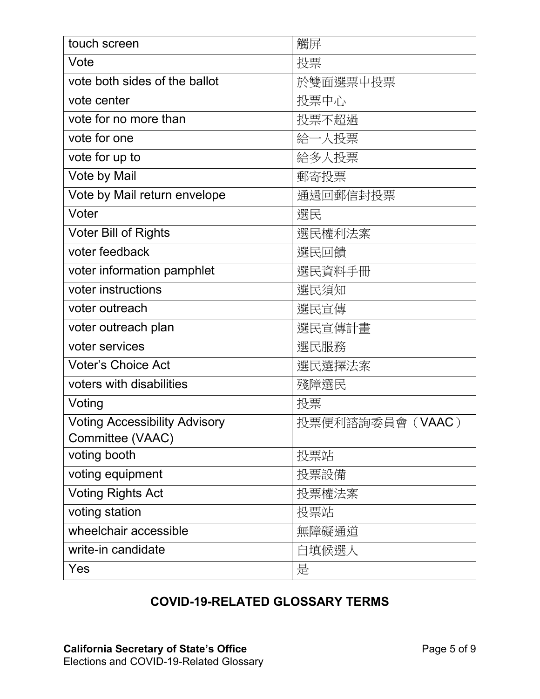| touch screen                         | 觸屏               |
|--------------------------------------|------------------|
| Vote                                 | 投票               |
| vote both sides of the ballot        | 於雙面選票中投票         |
| vote center                          | 投票中心             |
| vote for no more than                | 投票不超過            |
| vote for one                         | 給一人投票            |
| vote for up to                       | 給多人投票            |
| Vote by Mail                         | 郵寄投票             |
| Vote by Mail return envelope         | 通過回郵信封投票         |
| Voter                                | 選民               |
| <b>Voter Bill of Rights</b>          | 選民權利法案           |
| voter feedback                       | 選民回饋             |
| voter information pamphlet           | 選民資料手冊           |
| voter instructions                   | 選民須知             |
| voter outreach                       | 選民宣傳             |
| voter outreach plan                  | 選民宣傳計畫           |
| voter services                       | 選民服務             |
| <b>Voter's Choice Act</b>            | 選民選擇法案           |
| voters with disabilities             | 殘障選民             |
| Voting                               | 投票               |
| <b>Voting Accessibility Advisory</b> | 投票便利諮詢委員會 (VAAC) |
| Committee (VAAC)                     |                  |
| voting booth                         | 投票站              |
| voting equipment                     | 投票設備             |
| <b>Voting Rights Act</b>             | 投票權法案            |
| voting station                       | 投票站              |
| wheelchair accessible                | 無障礙通道            |
| write-in candidate                   | 自填候選人            |
| Yes                                  | 是                |

## **COVID-19-RELATED GLOSSARY TERMS**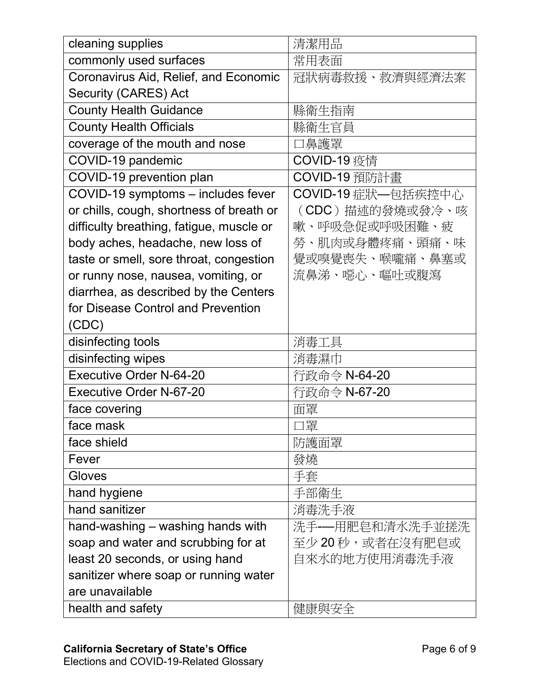| cleaning supplies                        | 清潔用品                |
|------------------------------------------|---------------------|
| commonly used surfaces                   | 常用表面                |
| Coronavirus Aid, Relief, and Economic    | 冠狀病毒救援、救濟與經濟法案      |
| Security (CARES) Act                     |                     |
| <b>County Health Guidance</b>            | 縣衛生指南               |
| <b>County Health Officials</b>           | 縣衛生官員               |
| coverage of the mouth and nose           | 鼻護罩                 |
| COVID-19 pandemic                        | COVID-19 疫情         |
| COVID-19 prevention plan                 | COVID-19 預防計畫       |
| COVID-19 symptoms - includes fever       | COVID-19 症狀––包括疾控中心 |
| or chills, cough, shortness of breath or | (CDC) 描述的發燒或發冷、咳    |
| difficulty breathing, fatigue, muscle or | 嗽、呼吸急促或呼吸困難、疲       |
| body aches, headache, new loss of        | 勞、肌肉或身體疼痛、頭痛、味      |
| taste or smell, sore throat, congestion  | 覺或嗅覺喪失、喉嚨痛、鼻塞或      |
| or runny nose, nausea, vomiting, or      | 流鼻涕、噁心、嘔吐或腹瀉        |
| diarrhea, as described by the Centers    |                     |
| for Disease Control and Prevention       |                     |
| (CDC)                                    |                     |
| disinfecting tools                       | 消毒工具                |
| disinfecting wipes                       | 消毒濕巾                |
| <b>Executive Order N-64-20</b>           | 行政命令 N-64-20        |
| <b>Executive Order N-67-20</b>           | 行政命令 N-67-20        |
| face covering                            | 面罩                  |
| face mask                                | コ罩                  |
| face shield                              | 防護面罩                |
| Fever                                    | 發燒                  |
| Gloves                                   | 手套                  |
| hand hygiene                             | 手部衛生                |
| hand sanitizer                           | 消毒洗手液               |
| hand-washing - washing hands with        | 洗手-—用肥皂和清水洗手並搓洗     |
| soap and water and scrubbing for at      | 至少20秒,或者在沒有肥皂或      |
| least 20 seconds, or using hand          | 自來水的地方使用消毒洗手液       |
| sanitizer where soap or running water    |                     |
| are unavailable                          |                     |
| health and safety                        | 健康與安全               |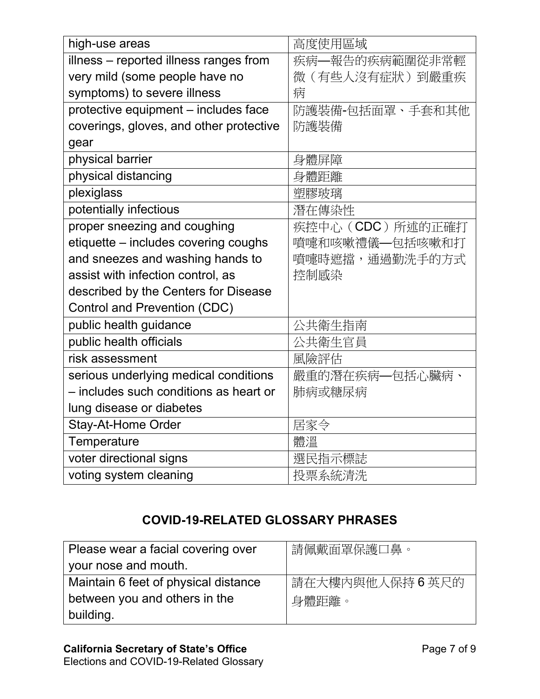| high-use areas                          | 高度使用區域            |
|-----------------------------------------|-------------------|
| illness - reported illness ranges from  | 疾病–報告的疾病範圍從非常輕    |
| very mild (some people have no          | 微(有些人沒有症狀)到嚴重疾    |
| symptoms) to severe illness             | 病                 |
| protective equipment - includes face    | 防護裝備-包括面罩、手套和其他   |
| coverings, gloves, and other protective | 防護裝備              |
| gear                                    |                   |
| physical barrier                        | 身體屏障              |
| physical distancing                     | 身體距離              |
| plexiglass                              | 塑膠玻璃              |
| potentially infectious                  | 潛在傳染性             |
| proper sneezing and coughing            | 疾控中心 (CDC) 所述的正確打 |
| etiquette - includes covering coughs    | 噴嚏和咳嗽禮儀–包括咳嗽和打    |
| and sneezes and washing hands to        | 噴嚏時遮擋,通過勤洗手的方式    |
| assist with infection control, as       | 控制感染              |
| described by the Centers for Disease    |                   |
| <b>Control and Prevention (CDC)</b>     |                   |
| public health guidance                  | 公共衛生指南            |
| public health officials                 | 公共衛生官員            |
| risk assessment                         | 風險評估              |
| serious underlying medical conditions   | 嚴重的潛在疾病—包括心臟病、    |
| - includes such conditions as heart or  | 肺病或糖尿病            |
| lung disease or diabetes                |                   |
| <b>Stay-At-Home Order</b>               | 居家令               |
| Temperature                             | 體溫                |
| voter directional signs                 | 選民指示標誌            |
| voting system cleaning                  | 投票系統清洗            |

## **COVID-19-RELATED GLOSSARY PHRASES**

| Please wear a facial covering over   | 請佩戴面罩保護口鼻。     |
|--------------------------------------|----------------|
| your nose and mouth.                 |                |
| Maintain 6 feet of physical distance | 請在大樓內與他人保持6英尺的 |
| between you and others in the        | 身體距離。          |
| building.                            |                |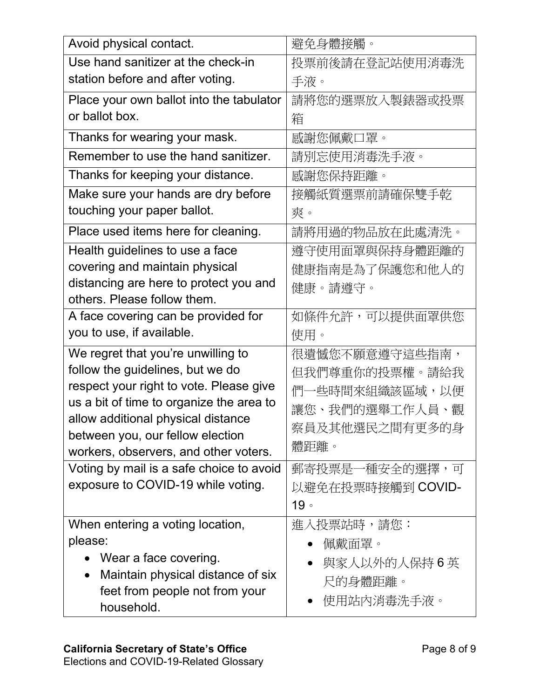| Avoid physical contact.                                                | 避免身體接觸。           |
|------------------------------------------------------------------------|-------------------|
| Use hand sanitizer at the check-in                                     | 投票前後請在登記站使用消毒洗    |
| station before and after voting.                                       | 手液。               |
| Place your own ballot into the tabulator                               | 請將您的選票放入製錶器或投票    |
| or ballot box.                                                         | 箱                 |
| Thanks for wearing your mask.                                          | 感謝您佩戴口罩。          |
| Remember to use the hand sanitizer.                                    | 請別忘使用消毒洗手液。       |
| Thanks for keeping your distance.                                      | 感謝您保持距離。          |
| Make sure your hands are dry before                                    | 接觸紙質選票前請確保雙手乾     |
| touching your paper ballot.                                            | 爽。                |
| Place used items here for cleaning.                                    | 請將用過的物品放在此處清洗。    |
| Health guidelines to use a face                                        | 遵守使用面罩與保持身體距離的    |
| covering and maintain physical                                         | 健康指南是為了保護您和他人的    |
| distancing are here to protect you and                                 | 健康。請遵守。           |
| others. Please follow them.                                            |                   |
| A face covering can be provided for                                    | 如條件允許,可以提供面罩供您    |
| you to use, if available.                                              | 使用。               |
| We regret that you're unwilling to                                     | 很遺憾您不願意遵守這些指南,    |
| follow the guidelines, but we do                                       | 但我們尊重你的投票權。請給我    |
| respect your right to vote. Please give                                | 們一些時間來組織該區域,以便    |
| us a bit of time to organize the area to                               | 讓您、我們的選舉工作人員、觀    |
| allow additional physical distance<br>between you, our fellow election | 察員及其他選民之間有更多的身    |
| workers, observers, and other voters.                                  | 體距離。              |
| Voting by mail is a safe choice to avoid                               | 郵寄投票是一種安全的選擇,可    |
| exposure to COVID-19 while voting.                                     | 以避免在投票時接觸到 COVID- |
|                                                                        | 19°               |
| When entering a voting location,                                       | 進入投票站時,請您:        |
| please:                                                                | 佩戴面罩。             |
| Wear a face covering.                                                  | 與家人以外的人保持6英       |
| Maintain physical distance of six                                      | 尺的身體距離。           |
| feet from people not from your                                         |                   |
|                                                                        | 使用站内消毒洗手液。        |